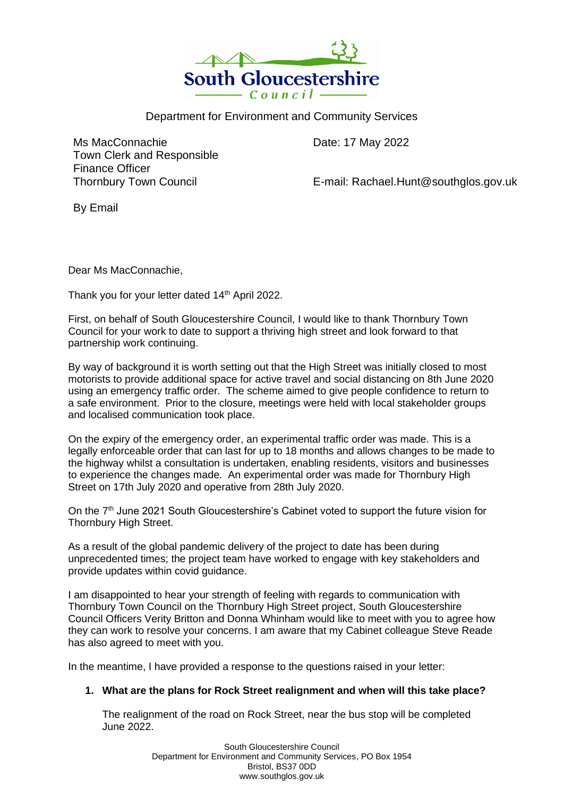

Department for Environment and Community Services

Ms MacConnachie Town Clerk and Responsible Finance Officer Thornbury Town Council

Date: 17 May 2022

E-mail: Rachael.Hunt@southglos.gov.uk

By Email

Dear Ms MacConnachie,

Thank you for your letter dated 14<sup>th</sup> April 2022.

First, on behalf of South Gloucestershire Council, I would like to thank Thornbury Town Council for your work to date to support a thriving high street and look forward to that partnership work continuing.

By way of background it is worth setting out that the High Street was initially closed to most motorists to provide additional space for active travel and social distancing on 8th June 2020 using an emergency traffic order. The scheme aimed to give people confidence to return to a safe environment. Prior to the closure, meetings were held with local stakeholder groups and localised communication took place.

On the expiry of the emergency order, an experimental traffic order was made. This is a legally enforceable order that can last for up to 18 months and allows changes to be made to the highway whilst a consultation is undertaken, enabling residents, visitors and businesses to experience the changes made. An experimental order was made for Thornbury High Street on 17th July 2020 and operative from 28th July 2020.

On the 7<sup>th</sup> June 2021 South Gloucestershire's Cabinet voted to support the future vision for Thornbury High Street.

As a result of the global pandemic delivery of the project to date has been during unprecedented times; the project team have worked to engage with key stakeholders and provide updates within covid guidance.

I am disappointed to hear your strength of feeling with regards to communication with Thornbury Town Council on the Thornbury High Street project, South Gloucestershire Council Officers Verity Britton and Donna Whinham would like to meet with you to agree how they can work to resolve your concerns. I am aware that my Cabinet colleague Steve Reade has also agreed to meet with you.

In the meantime, I have provided a response to the questions raised in your letter:

# **1. What are the plans for Rock Street realignment and when will this take place?**

The realignment of the road on Rock Street, near the bus stop will be completed June 2022.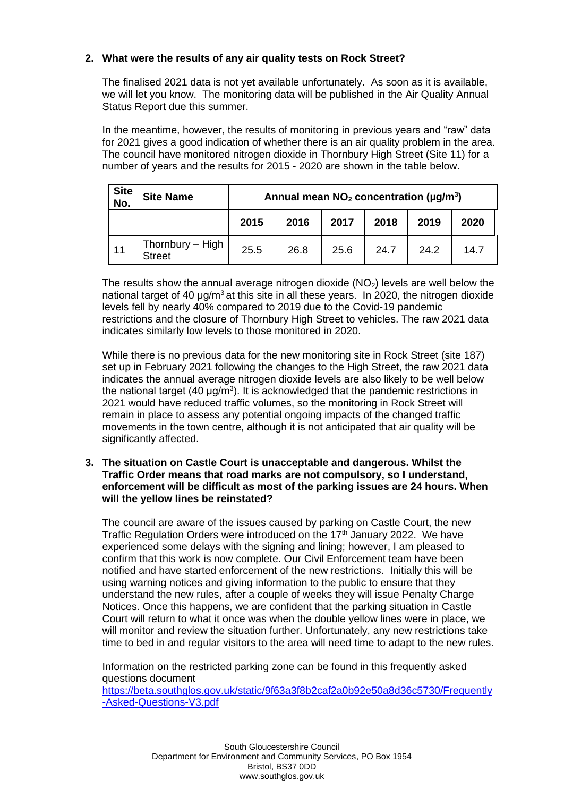## **2. What were the results of any air quality tests on Rock Street?**

The finalised 2021 data is not yet available unfortunately. As soon as it is available, we will let you know. The monitoring data will be published in the Air Quality Annual Status Report due this summer.

In the meantime, however, the results of monitoring in previous years and "raw" data for 2021 gives a good indication of whether there is an air quality problem in the area. The council have monitored nitrogen dioxide in Thornbury High Street (Site 11) for a number of years and the results for 2015 - 2020 are shown in the table below.

| Site<br>No. | <b>Site Name</b>           | Annual mean $NO2$ concentration ( $\mu$ g/m <sup>3</sup> ) |      |      |      |      |      |
|-------------|----------------------------|------------------------------------------------------------|------|------|------|------|------|
|             |                            | 2015                                                       | 2016 | 2017 | 2018 | 2019 | 2020 |
| 11          | Thornbury - High<br>Street | 25.5                                                       | 26.8 | 25.6 | 24.7 | 24.2 | 14.7 |

The results show the annual average nitrogen dioxide  $(NO<sub>2</sub>)$  levels are well below the national target of 40  $\mu q/m^3$  at this site in all these years. In 2020, the nitrogen dioxide levels fell by nearly 40% compared to 2019 due to the Covid-19 pandemic restrictions and the closure of Thornbury High Street to vehicles. The raw 2021 data indicates similarly low levels to those monitored in 2020.

While there is no previous data for the new monitoring site in Rock Street (site 187) set up in February 2021 following the changes to the High Street, the raw 2021 data indicates the annual average nitrogen dioxide levels are also likely to be well below the national target  $(40 \mu g/m^3)$ . It is acknowledged that the pandemic restrictions in 2021 would have reduced traffic volumes, so the monitoring in Rock Street will remain in place to assess any potential ongoing impacts of the changed traffic movements in the town centre, although it is not anticipated that air quality will be significantly affected.

#### **3. The situation on Castle Court is unacceptable and dangerous. Whilst the Traffic Order means that road marks are not compulsory, so I understand, enforcement will be difficult as most of the parking issues are 24 hours. When will the yellow lines be reinstated?**

The council are aware of the issues caused by parking on Castle Court, the new Traffic Regulation Orders were introduced on the 17<sup>th</sup> January 2022. We have experienced some delays with the signing and lining; however, I am pleased to confirm that this work is now complete. Our Civil Enforcement team have been notified and have started enforcement of the new restrictions. Initially this will be using warning notices and giving information to the public to ensure that they understand the new rules, after a couple of weeks they will issue Penalty Charge Notices. Once this happens, we are confident that the parking situation in Castle Court will return to what it once was when the double yellow lines were in place, we will monitor and review the situation further. Unfortunately, any new restrictions take time to bed in and regular visitors to the area will need time to adapt to the new rules.

Information on the restricted parking zone can be found in this frequently asked questions document

[https://beta.southglos.gov.uk/static/9f63a3f8b2caf2a0b92e50a8d36c5730/Frequently](https://beta.southglos.gov.uk/static/9f63a3f8b2caf2a0b92e50a8d36c5730/Frequently-Asked-Questions-V3.pdf) [-Asked-Questions-V3.pdf](https://beta.southglos.gov.uk/static/9f63a3f8b2caf2a0b92e50a8d36c5730/Frequently-Asked-Questions-V3.pdf)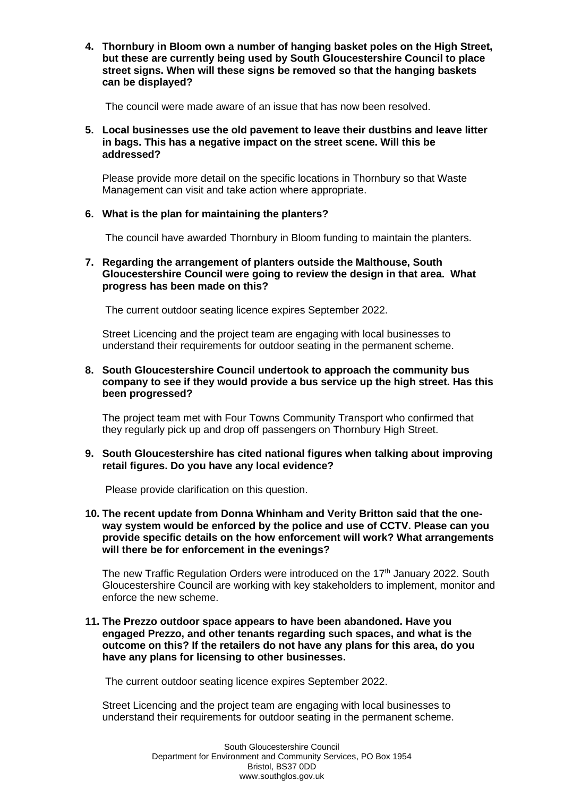**4. Thornbury in Bloom own a number of hanging basket poles on the High Street, but these are currently being used by South Gloucestershire Council to place street signs. When will these signs be removed so that the hanging baskets can be displayed?** 

The council were made aware of an issue that has now been resolved.

### **5. Local businesses use the old pavement to leave their dustbins and leave litter in bags. This has a negative impact on the street scene. Will this be addressed?**

Please provide more detail on the specific locations in Thornbury so that Waste Management can visit and take action where appropriate.

### **6. What is the plan for maintaining the planters?**

The council have awarded Thornbury in Bloom funding to maintain the planters.

### **7. Regarding the arrangement of planters outside the Malthouse, South Gloucestershire Council were going to review the design in that area. What progress has been made on this?**

The current outdoor seating licence expires September 2022.

Street Licencing and the project team are engaging with local businesses to understand their requirements for outdoor seating in the permanent scheme.

### **8. South Gloucestershire Council undertook to approach the community bus company to see if they would provide a bus service up the high street. Has this been progressed?**

The project team met with Four Towns Community Transport who confirmed that they regularly pick up and drop off passengers on Thornbury High Street.

### **9. South Gloucestershire has cited national figures when talking about improving retail figures. Do you have any local evidence?**

Please provide clarification on this question.

**10. The recent update from Donna Whinham and Verity Britton said that the oneway system would be enforced by the police and use of CCTV. Please can you provide specific details on the how enforcement will work? What arrangements will there be for enforcement in the evenings?** 

The new Traffic Regulation Orders were introduced on the 17<sup>th</sup> January 2022. South Gloucestershire Council are working with key stakeholders to implement, monitor and enforce the new scheme.

### **11. The Prezzo outdoor space appears to have been abandoned. Have you engaged Prezzo, and other tenants regarding such spaces, and what is the outcome on this? If the retailers do not have any plans for this area, do you have any plans for licensing to other businesses.**

The current outdoor seating licence expires September 2022.

Street Licencing and the project team are engaging with local businesses to understand their requirements for outdoor seating in the permanent scheme.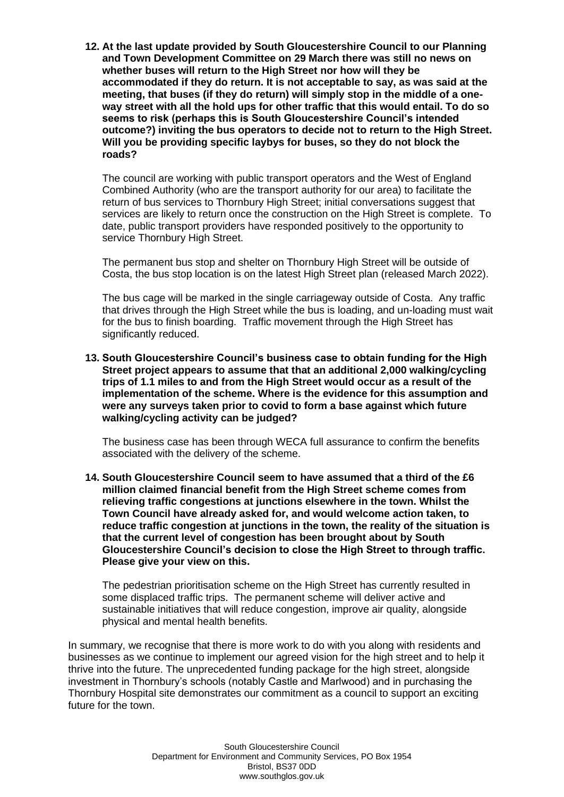**12. At the last update provided by South Gloucestershire Council to our Planning and Town Development Committee on 29 March there was still no news on whether buses will return to the High Street nor how will they be accommodated if they do return. It is not acceptable to say, as was said at the meeting, that buses (if they do return) will simply stop in the middle of a oneway street with all the hold ups for other traffic that this would entail. To do so seems to risk (perhaps this is South Gloucestershire Council's intended outcome?) inviting the bus operators to decide not to return to the High Street. Will you be providing specific laybys for buses, so they do not block the roads?** 

The council are working with public transport operators and the West of England Combined Authority (who are the transport authority for our area) to facilitate the return of bus services to Thornbury High Street; initial conversations suggest that services are likely to return once the construction on the High Street is complete. To date, public transport providers have responded positively to the opportunity to service Thornbury High Street.

The permanent bus stop and shelter on Thornbury High Street will be outside of Costa, the bus stop location is on the latest High Street plan (released March 2022).

The bus cage will be marked in the single carriageway outside of Costa. Any traffic that drives through the High Street while the bus is loading, and un-loading must wait for the bus to finish boarding. Traffic movement through the High Street has significantly reduced.

**13. South Gloucestershire Council's business case to obtain funding for the High Street project appears to assume that that an additional 2,000 walking/cycling trips of 1.1 miles to and from the High Street would occur as a result of the implementation of the scheme. Where is the evidence for this assumption and were any surveys taken prior to covid to form a base against which future walking/cycling activity can be judged?** 

The business case has been through WECA full assurance to confirm the benefits associated with the delivery of the scheme.

**14. South Gloucestershire Council seem to have assumed that a third of the £6 million claimed financial benefit from the High Street scheme comes from relieving traffic congestions at junctions elsewhere in the town. Whilst the Town Council have already asked for, and would welcome action taken, to reduce traffic congestion at junctions in the town, the reality of the situation is that the current level of congestion has been brought about by South Gloucestershire Council's decision to close the High Street to through traffic. Please give your view on this.**

The pedestrian prioritisation scheme on the High Street has currently resulted in some displaced traffic trips. The permanent scheme will deliver active and sustainable initiatives that will reduce congestion, improve air quality, alongside physical and mental health benefits.

In summary, we recognise that there is more work to do with you along with residents and businesses as we continue to implement our agreed vision for the high street and to help it thrive into the future. The unprecedented funding package for the high street, alongside investment in Thornbury's schools (notably Castle and Marlwood) and in purchasing the Thornbury Hospital site demonstrates our commitment as a council to support an exciting future for the town.

> South Gloucestershire Council Department for Environment and Community Services, PO Box 1954 Bristol, BS37 0DD www.southglos.gov.uk